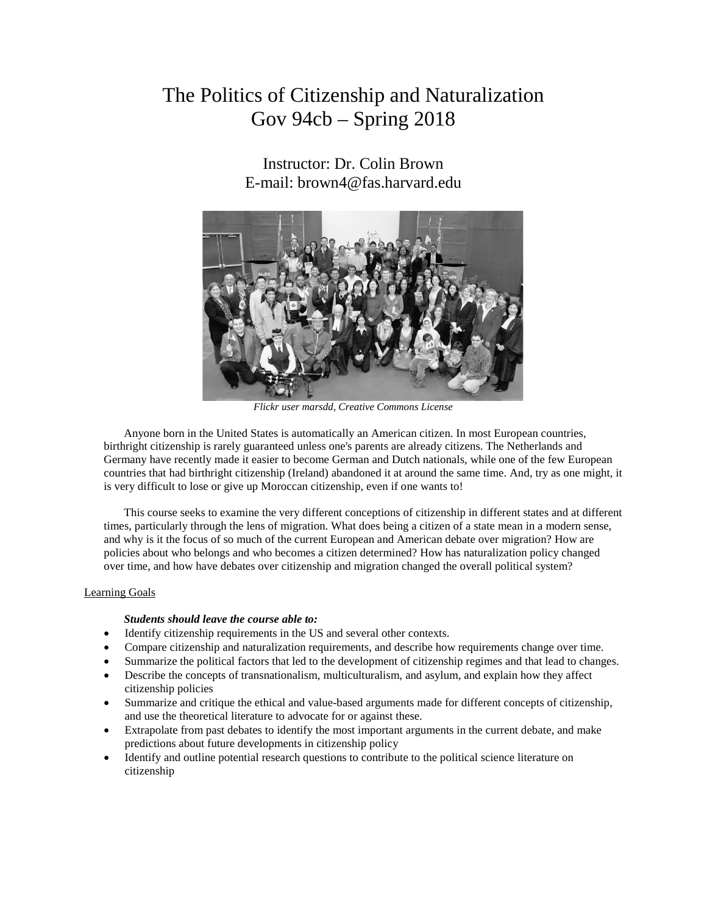# The Politics of Citizenship and Naturalization Gov 94cb – Spring 2018

Instructor: Dr. Colin Brown E-mail: [brown4@fas.harvard.edu](mailto:brown4@fas.harvard.edu)



*Flickr user marsdd, Creative Commons License*

Anyone born in the United States is automatically an American citizen. In most European countries, birthright citizenship is rarely guaranteed unless one's parents are already citizens. The Netherlands and Germany have recently made it easier to become German and Dutch nationals, while one of the few European countries that had birthright citizenship (Ireland) abandoned it at around the same time. And, try as one might, it is very difficult to lose or give up Moroccan citizenship, even if one wants to!

This course seeks to examine the very different conceptions of citizenship in different states and at different times, particularly through the lens of migration. What does being a citizen of a state mean in a modern sense, and why is it the focus of so much of the current European and American debate over migration? How are policies about who belongs and who becomes a citizen determined? How has naturalization policy changed over time, and how have debates over citizenship and migration changed the overall political system?

#### Learning Goals

#### *Students should leave the course able to:*

- Identify citizenship requirements in the US and several other contexts.
- Compare citizenship and naturalization requirements, and describe how requirements change over time.
- Summarize the political factors that led to the development of citizenship regimes and that lead to changes.
- Describe the concepts of transnationalism, multiculturalism, and asylum, and explain how they affect citizenship policies
- Summarize and critique the ethical and value-based arguments made for different concepts of citizenship, and use the theoretical literature to advocate for or against these.
- Extrapolate from past debates to identify the most important arguments in the current debate, and make predictions about future developments in citizenship policy
- Identify and outline potential research questions to contribute to the political science literature on citizenship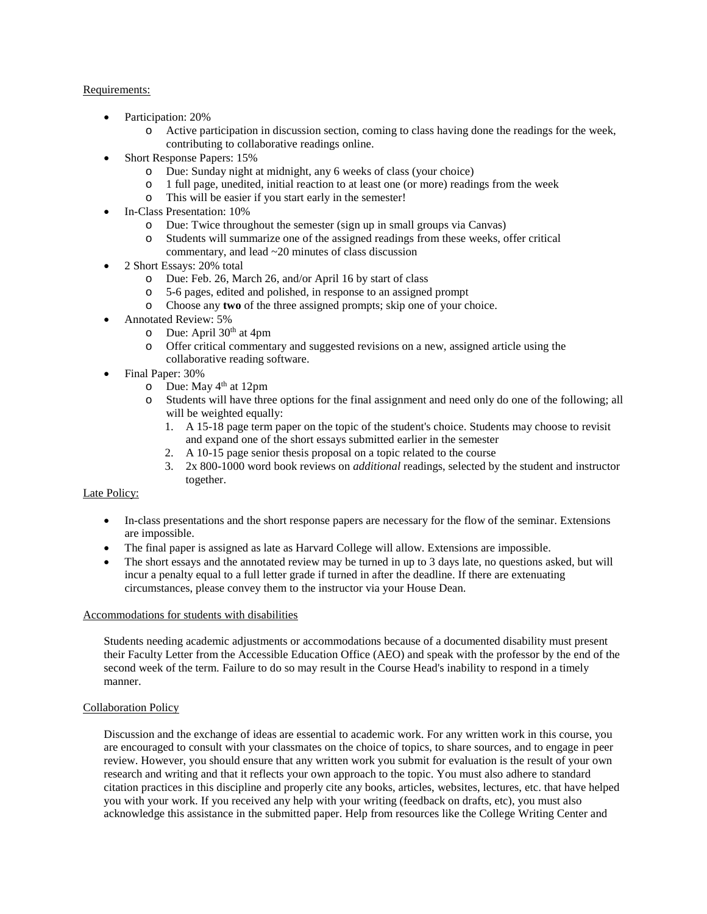#### Requirements:

- Participation: 20%
	- o Active participation in discussion section, coming to class having done the readings for the week, contributing to collaborative readings online.
- Short Response Papers: 15%
	- o Due: Sunday night at midnight, any 6 weeks of class (your choice)
	- o 1 full page, unedited, initial reaction to at least one (or more) readings from the week
	- o This will be easier if you start early in the semester!
- In-Class Presentation: 10%
	- o Due: Twice throughout the semester (sign up in small groups via Canvas)
	- o Students will summarize one of the assigned readings from these weeks, offer critical commentary, and lead ~20 minutes of class discussion
- 2 Short Essays: 20% total
	- o Due: Feb. 26, March 26, and/or April 16 by start of class  $\circ$  5-6 pages, edited and polished, in response to an assigned
	- 5-6 pages, edited and polished, in response to an assigned prompt
	- o Choose any **two** of the three assigned prompts; skip one of your choice.
- Annotated Review: 5%
	- $\circ$  Due: April 30<sup>th</sup> at 4pm<br>  $\circ$  Offer critical commenta
	- Offer critical commentary and suggested revisions on a new, assigned article using the collaborative reading software.
- Final Paper: 30%
	- $\degree$  Due: May 4<sup>th</sup> at 12pm
	- o Students will have three options for the final assignment and need only do one of the following; all will be weighted equally:
		- 1. A 15-18 page term paper on the topic of the student's choice. Students may choose to revisit and expand one of the short essays submitted earlier in the semester
		- 2. A 10-15 page senior thesis proposal on a topic related to the course
		- 3. 2x 800-1000 word book reviews on *additional* readings, selected by the student and instructor together.

# Late Policy:

- In-class presentations and the short response papers are necessary for the flow of the seminar. Extensions are impossible.
- The final paper is assigned as late as Harvard College will allow. Extensions are impossible.
- The short essays and the annotated review may be turned in up to 3 days late, no questions asked, but will incur a penalty equal to a full letter grade if turned in after the deadline. If there are extenuating circumstances, please convey them to the instructor via your House Dean.

#### Accommodations for students with disabilities

Students needing academic adjustments or accommodations because of a documented disability must present their Faculty Letter from the Accessible Education Office (AEO) and speak with the professor by the end of the second week of the term. Failure to do so may result in the Course Head's inability to respond in a timely manner.

# Collaboration Policy

Discussion and the exchange of ideas are essential to academic work. For any written work in this course, you are encouraged to consult with your classmates on the choice of topics, to share sources, and to engage in peer review. However, you should ensure that any written work you submit for evaluation is the result of your own research and writing and that it reflects your own approach to the topic. You must also adhere to standard citation practices in this discipline and properly cite any books, articles, websites, lectures, etc. that have helped you with your work. If you received any help with your writing (feedback on drafts, etc), you must also acknowledge this assistance in the submitted paper. Help from resources like the College Writing Center and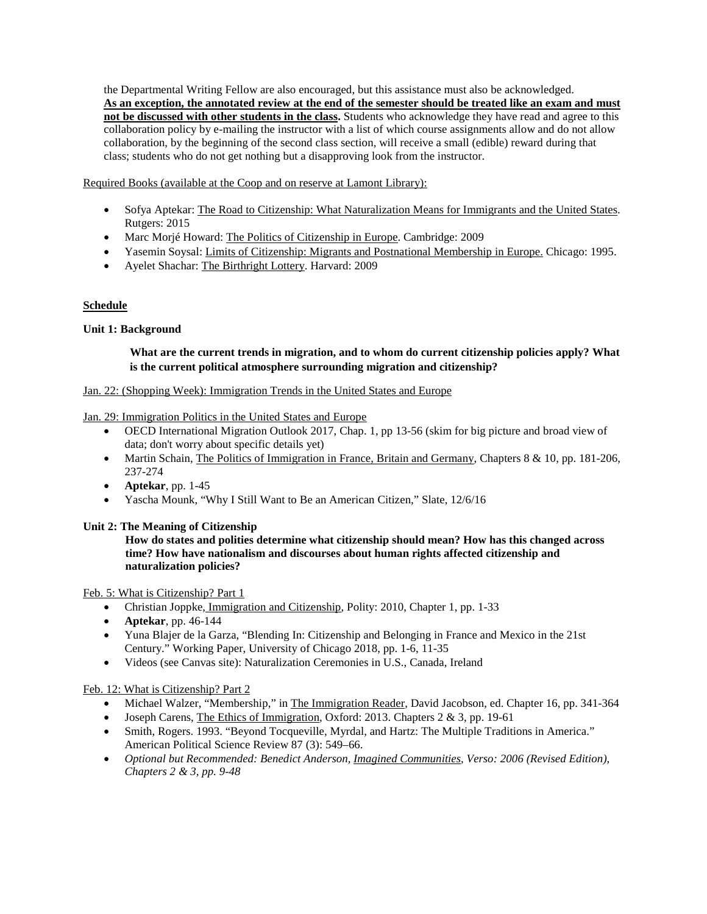the Departmental Writing Fellow are also encouraged, but this assistance must also be acknowledged. **As an exception, the annotated review at the end of the semester should be treated like an exam and must not be discussed with other students in the class.** Students who acknowledge they have read and agree to this collaboration policy by e-mailing the instructor with a list of which course assignments allow and do not allow collaboration, by the beginning of the second class section, will receive a small (edible) reward during that class; students who do not get nothing but a disapproving look from the instructor.

Required Books (available at the Coop and on reserve at Lamont Library):

- Sofya Aptekar: The Road to Citizenship: What Naturalization Means for Immigrants and the United States. Rutgers: 2015
- Marc Morjé Howard: The Politics of Citizenship in Europe. Cambridge: 2009
- Yasemin Soysal: Limits of Citizenship: Migrants and Postnational Membership in Europe. Chicago: 1995.
- Ayelet Shachar: The Birthright Lottery. Harvard: 2009

# **Schedule**

# **Unit 1: Background**

# **What are the current trends in migration, and to whom do current citizenship policies apply? What is the current political atmosphere surrounding migration and citizenship?**

# Jan. 22: (Shopping Week): Immigration Trends in the United States and Europe

Jan. 29: Immigration Politics in the United States and Europe

- OECD International Migration Outlook 2017, Chap. 1, pp 13-56 (skim for big picture and broad view of data; don't worry about specific details yet)
- Martin Schain, The Politics of Immigration in France, Britain and Germany, Chapters 8 & 10, pp. 181-206, 237-274
- **Aptekar**, pp. 1-45
- Yascha Mounk, "Why I Still Want to Be an American Citizen," Slate, 12/6/16

# **Unit 2: The Meaning of Citizenship**

**How do states and polities determine what citizenship should mean? How has this changed across time? How have nationalism and discourses about human rights affected citizenship and naturalization policies?**

# Feb. 5: What is Citizenship? Part 1

- Christian Joppke, Immigration and Citizenship, Polity: 2010, Chapter 1, pp. 1-33
- **Aptekar**, pp. 46-144
- Yuna Blajer de la Garza, "Blending In: Citizenship and Belonging in France and Mexico in the 21st Century." Working Paper, University of Chicago 2018, pp. 1-6, 11-35
- Videos (see Canvas site): Naturalization Ceremonies in U.S., Canada, Ireland

# Feb. 12: What is Citizenship? Part 2

- Michael Walzer, "Membership," in The Immigration Reader, David Jacobson, ed. Chapter 16, pp. 341-364
- Joseph Carens, The Ethics of Immigration, Oxford: 2013. Chapters  $2 \& 3$ , pp. 19-61
- Smith, Rogers. 1993. "Beyond Tocqueville, Myrdal, and Hartz: The Multiple Traditions in America." American Political Science Review 87 (3): 549–66.
- *Optional but Recommended: Benedict Anderson, Imagined Communities, Verso: 2006 (Revised Edition), Chapters 2 & 3, pp. 9-48*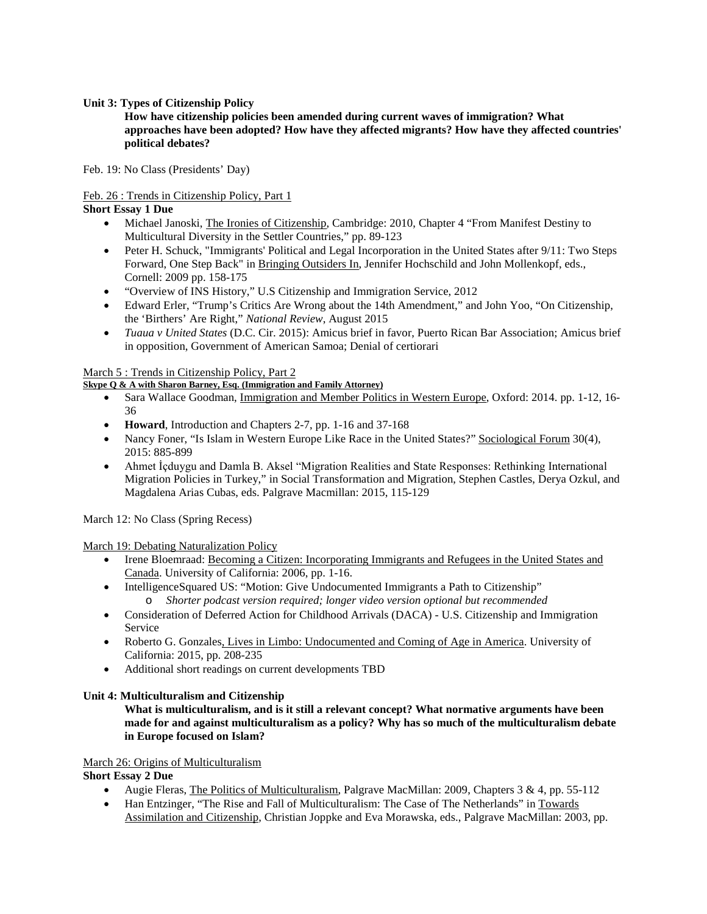#### **Unit 3: Types of Citizenship Policy**

**How have citizenship policies been amended during current waves of immigration? What approaches have been adopted? How have they affected migrants? How have they affected countries' political debates?**

Feb. 19: No Class (Presidents' Day)

# Feb. 26 : Trends in Citizenship Policy, Part 1

**Short Essay 1 Due**

- Michael Janoski, The Ironies of Citizenship, Cambridge: 2010, Chapter 4 "From Manifest Destiny to Multicultural Diversity in the Settler Countries," pp. 89-123
- Peter H. Schuck, "Immigrants' Political and Legal Incorporation in the United States after 9/11: Two Steps Forward, One Step Back" in Bringing Outsiders In, Jennifer Hochschild and John Mollenkopf, eds., Cornell: 2009 pp. 158-175
- "Overview of INS History," U.S Citizenship and Immigration Service, 2012
- Edward Erler, "Trump's Critics Are Wrong about the 14th Amendment," and John Yoo, "On Citizenship, the 'Birthers' Are Right," *National Review*, August 2015
- *Tuaua v United States* (D.C. Cir. 2015): Amicus brief in favor, Puerto Rican Bar Association; Amicus brief in opposition, Government of American Samoa; Denial of certiorari

March 5 : Trends in Citizenship Policy, Part 2

# **Skype Q & A with Sharon Barney, Esq. (Immigration and Family Attorney)**

- Sara Wallace Goodman, Immigration and Member Politics in Western Europe, Oxford: 2014. pp. 1-12, 16-36
- **Howard**, Introduction and Chapters 2-7, pp. 1-16 and 37-168
- Nancy Foner, "Is Islam in Western Europe Like Race in the United States?" Sociological Forum 30(4), 2015: 885-899
- Ahmet İcduygu and Damla B. Aksel "Migration Realities and State Responses: Rethinking International Migration Policies in Turkey," in Social Transformation and Migration, Stephen Castles, Derya Ozkul, and Magdalena Arias Cubas, eds. Palgrave Macmillan: 2015, 115-129

March 12: No Class (Spring Recess)

March 19: Debating Naturalization Policy

- Irene Bloemraad: Becoming a Citizen: Incorporating Immigrants and Refugees in the United States and Canada. University of California: 2006, pp. 1-16.
- IntelligenceSquared US: "Motion: Give Undocumented Immigrants a Path to Citizenship" o *Shorter podcast version required; longer video version optional but recommended*
- Consideration of Deferred Action for Childhood Arrivals (DACA) U.S. Citizenship and Immigration Service
- Roberto G. Gonzales, Lives in Limbo: Undocumented and Coming of Age in America. University of California: 2015, pp. 208-235
- Additional short readings on current developments TBD

# **Unit 4: Multiculturalism and Citizenship**

**What is multiculturalism, and is it still a relevant concept? What normative arguments have been made for and against multiculturalism as a policy? Why has so much of the multiculturalism debate in Europe focused on Islam?**

# March 26: Origins of Multiculturalism

**Short Essay 2 Due**

- Augie Fleras, The Politics of Multiculturalism, Palgrave MacMillan: 2009, Chapters 3 & 4, pp. 55-112
- Han Entzinger, "The Rise and Fall of Multiculturalism: The Case of The Netherlands" in Towards Assimilation and Citizenship, Christian Joppke and Eva Morawska, eds., Palgrave MacMillan: 2003, pp.